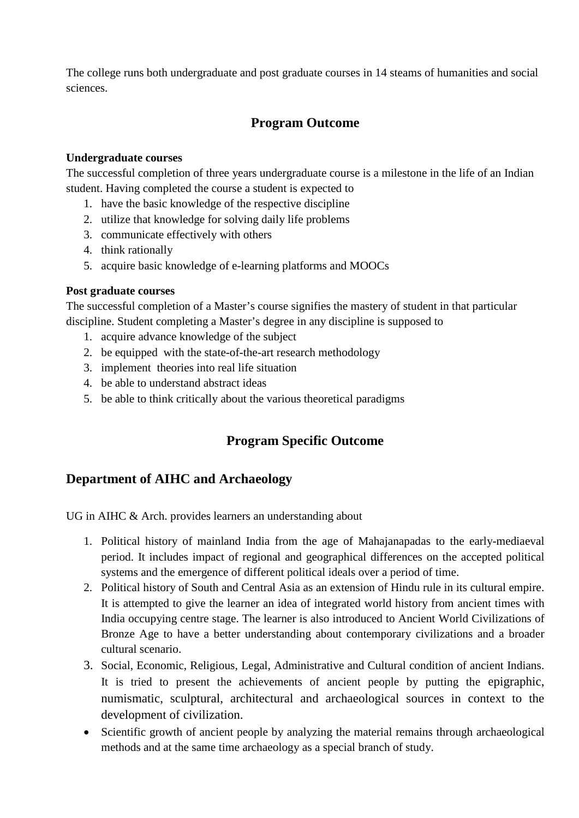The college runs both undergraduate and post graduate courses in 14 steams of humanities and social sciences.

## **Program Outcome**

#### **Undergraduate courses**

The successful completion of three years undergraduate course is a milestone in the life of an Indian student. Having completed the course a student is expected to

- 1. have the basic knowledge of the respective discipline
- 2. utilize that knowledge for solving daily life problems
- 3. communicate effectively with others
- 4. think rationally
- 5. acquire basic knowledge of e-learning platforms and MOOCs

#### **Post graduate courses**

The successful completion of a Master's course signifies the mastery of student in that particular discipline. Student completing a Master's degree in any discipline is supposed to

- 1. acquire advance knowledge of the subject
- 2. be equipped with the state-of-the-art research methodology
- 3. implement theories into real life situation
- 4. be able to understand abstract ideas
- 5. be able to think critically about the various theoretical paradigms

# **Program Specific Outcome**

## **Department of AIHC and Archaeology**

UG in AIHC & Arch. provides learners an understanding about

- 1. Political history of mainland India from the age of Mahajanapadas to the early-mediaeval period. It includes impact of regional and geographical differences on the accepted political systems and the emergence of different political ideals over a period of time.
- 2. Political history of South and Central Asia as an extension of Hindu rule in its cultural empire. It is attempted to give the learner an idea of integrated world history from ancient times with India occupying centre stage. The learner is also introduced to Ancient World Civilizations of Bronze Age to have a better understanding about contemporary civilizations and a broader cultural scenario.
- 3. Social, Economic, Religious, Legal, Administrative and Cultural condition of ancient Indians. It is tried to present the achievements of ancient people by putting the epigraphic, numismatic, sculptural, architectural and archaeological sources in context to the development of civilization.
- Scientific growth of ancient people by analyzing the material remains through archaeological methods and at the same time archaeology as a special branch of study.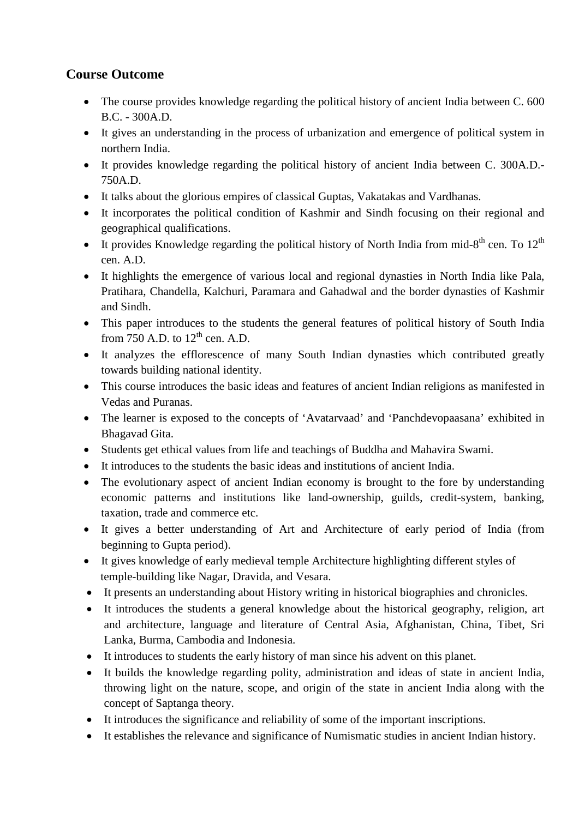## **Course Outcome**

- The course provides knowledge regarding the political history of ancient India between C. 600 B.C. - 300A.D.
- It gives an understanding in the process of urbanization and emergence of political system in northern India.
- It provides knowledge regarding the political history of ancient India between C. 300A.D.- 750A.D.
- It talks about the glorious empires of classical Guptas, Vakatakas and Vardhanas.
- It incorporates the political condition of Kashmir and Sindh focusing on their regional and geographical qualifications.
- It provides Knowledge regarding the political history of North India from mid-8<sup>th</sup> cen. To  $12<sup>th</sup>$ cen. A.D.
- It highlights the emergence of various local and regional dynasties in North India like Pala, Pratihara, Chandella, Kalchuri, Paramara and Gahadwal and the border dynasties of Kashmir and Sindh.
- This paper introduces to the students the general features of political history of South India from 750 A.D. to  $12<sup>th</sup>$  cen. A.D.
- It analyzes the efflorescence of many South Indian dynasties which contributed greatly towards building national identity.
- This course introduces the basic ideas and features of ancient Indian religions as manifested in Vedas and Puranas.
- The learner is exposed to the concepts of 'Avatarvaad' and 'Panchdevopaasana' exhibited in Bhagavad Gita.
- Students get ethical values from life and teachings of Buddha and Mahavira Swami.
- It introduces to the students the basic ideas and institutions of ancient India.
- The evolutionary aspect of ancient Indian economy is brought to the fore by understanding economic patterns and institutions like land-ownership, guilds, credit-system, banking, taxation, trade and commerce etc.
- It gives a better understanding of Art and Architecture of early period of India (from beginning to Gupta period).
- It gives knowledge of early medieval temple Architecture highlighting different styles of temple-building like Nagar, Dravida, and Vesara.
- It presents an understanding about History writing in historical biographies and chronicles.
- It introduces the students a general knowledge about the historical geography, religion, art and architecture, language and literature of Central Asia, Afghanistan, China, Tibet, Sri Lanka, Burma, Cambodia and Indonesia.
- It introduces to students the early history of man since his advent on this planet.
- It builds the knowledge regarding polity, administration and ideas of state in ancient India, throwing light on the nature, scope, and origin of the state in ancient India along with the concept of Saptanga theory.
- It introduces the significance and reliability of some of the important inscriptions.
- It establishes the relevance and significance of Numismatic studies in ancient Indian history.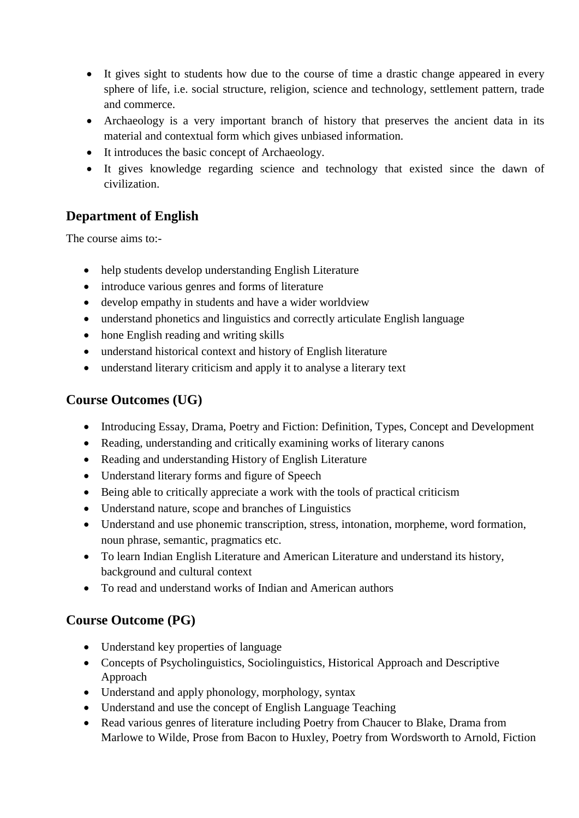- It gives sight to students how due to the course of time a drastic change appeared in every sphere of life, i.e. social structure, religion, science and technology, settlement pattern, trade and commerce.
- Archaeology is a very important branch of history that preserves the ancient data in its material and contextual form which gives unbiased information.
- It introduces the basic concept of Archaeology.
- It gives knowledge regarding science and technology that existed since the dawn of civilization.

# **Department of English**

The course aims to:-

- help students develop understanding English Literature
- introduce various genres and forms of literature
- develop empathy in students and have a wider worldview
- understand phonetics and linguistics and correctly articulate English language
- hone English reading and writing skills
- understand historical context and history of English literature
- understand literary criticism and apply it to analyse a literary text

## **Course Outcomes (UG)**

- Introducing Essay, Drama, Poetry and Fiction: Definition, Types, Concept and Development
- Reading, understanding and critically examining works of literary canons
- Reading and understanding History of English Literature
- Understand literary forms and figure of Speech
- Being able to critically appreciate a work with the tools of practical criticism
- Understand nature, scope and branches of Linguistics
- Understand and use phonemic transcription, stress, intonation, morpheme, word formation, noun phrase, semantic, pragmatics etc.
- To learn Indian English Literature and American Literature and understand its history, background and cultural context
- To read and understand works of Indian and American authors

## **Course Outcome (PG)**

- Understand key properties of language
- Concepts of Psycholinguistics, Sociolinguistics, Historical Approach and Descriptive Approach
- Understand and apply phonology, morphology, syntax
- Understand and use the concept of English Language Teaching
- Read various genres of literature including Poetry from Chaucer to Blake, Drama from Marlowe to Wilde, Prose from Bacon to Huxley, Poetry from Wordsworth to Arnold, Fiction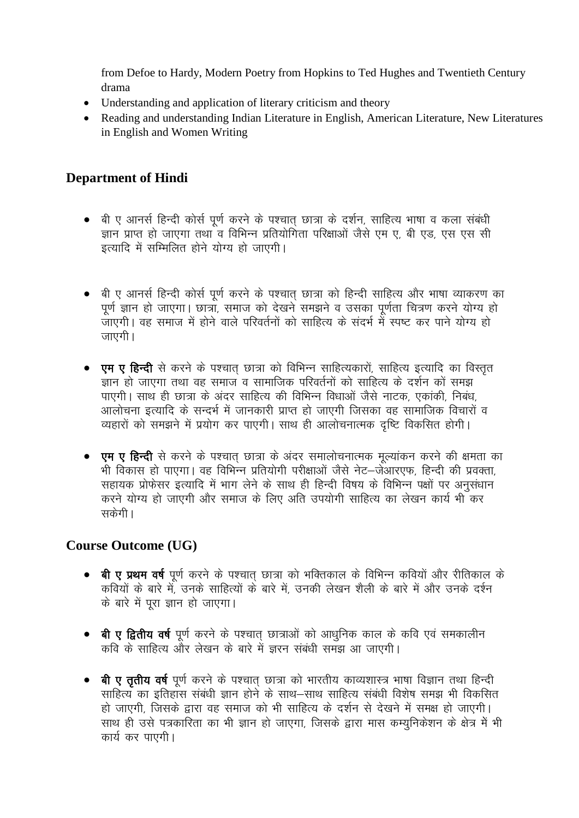from Defoe to Hardy, Modern Poetry from Hopkins to Ted Hughes and Twentieth Century drama

- Understanding and application of literary criticism and theory
- Reading and understanding Indian Literature in English, American Literature, New Literatures in English and Women Writing

## **Department of Hindi**

- बी ए आनर्स हिन्दी कोर्स पर्ण करने के पश्चात छात्रा के दर्शन, साहित्य भाषा व कला संबंधी ज्ञान प्राप्त हो जाएगा तथा व विभिन्न प्रतियोगिता परिक्षाओं जैसे एम ए. बी एड. एस एस सी इत्यादि में सम्मिलित होने योग्य हो जाएगी।
- बी ए आनर्स हिन्दी कोर्स पूर्ण करने के पश्चात छात्रा को हिन्दी साहित्य और भाषा व्याकरण का पूर्ण ज्ञान हो जाएगा। छात्रा, समाज को देखने समझने व उसका पूर्णता चित्रण करने योग्य हो ्<br>जाएगी। वह समाज में होने वाले परिवर्तनों को साहित्य के संदर्भ में स्पष्ट कर पाने योग्य हो जाएगी ।
- एम ए हिन्दी से करने के पश्चात छात्रा को विभिन्न साहित्यकारों, साहित्य इत्यादि का विस्तत ज्ञान हो जाएगा तथा वह समाज व सामाजिक परिवर्तनों को साहित्य के दर्शन को समझ पाएगी। साथ ही छात्रा के अंदर साहित्य की विभिन्न विधाओं जैसे नाटक, एकांकी, निबंध, आलोचना इत्यादि के सन्दर्भ में जानकारी प्राप्त हो जाएगी जिसका वह सामाजिक विचारों व व्यहारों को समझने में प्रयोग कर पाएगी। साथ ही आलोचनात्मक दृष्टि विकसित होगी।
- एम ए हिन्दी से करने के पश्चात छात्रा के अंदर समालोचनात्मक मुल्यांकन करने की क्षमता का भी विकास हो पाएगा। वह विभिन्न प्रतियोगी परीक्षाओं जैसे नेट–जेआरएफ, हिन्दी की प्रवक्ता, सहायक प्रोफेसर इत्यादि में भाग लेने के साथ ही हिन्दी विषय के विभिन्न पक्षों पर अनुसंधान करने योग्य हो जाएगी और समाज के लिए अति उपयोगी साहित्य का लेखन कार्य भी कर सकेंगी।

## **Course Outcome (UG)**

- बी ए प्रथम वर्ष पूर्ण करने के पश्चात छात्रा को भक्तिकाल के विभिन्न कवियों और रीतिकाल के कवियों के बारे में, उनके साहित्यों के बारे में, उनकी लेखन शैली के बारे में और उनके दर्श्न के बारे में पूरा ज्ञान हो जाएगा।
- बी ए द्वितीय वर्ष पूर्ण करने के पश्चात छात्राओं को आधुनिक काल के कवि एवं समकालीन कवि के साहित्य और लेखन के बारे में जरन संबंधी समझ आ जाएगी।
- बी ए ततीय वर्ष पर्ण करने के पश्चात छात्रा को भारतीय काव्यशास्त्र भाषा विज्ञान तथा हिन्दी साहित्य का इतिहास संबंधी ज्ञान होने के साथ–साथ साहित्य संबंधी विशेष समझ भी विकसित हो जाएगी. जिसके द्वारा वह समाज को भी साहित्य के दर्शन से देखने में समक्ष हो जाएगी। साथ ही उसे पत्रकारिता का भी ज्ञान हो जाएगा, जिसके द्वारा मास कम्युनिकेशन के क्षेत्र में भी कार्य कर पाएगी।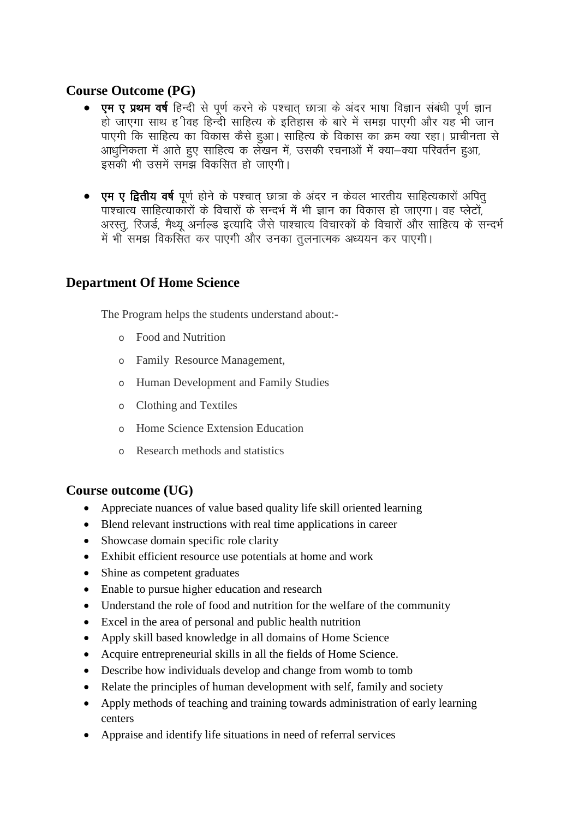## **Course Outcome (PG)**

- एम ए प्रथम वर्ष हिन्दी से पूर्ण करने के पश्चात् छात्रा के अंदर भाषा विज्ञान संबंधी पूर्ण ज्ञान हो जाएगा साथ हु विह हिन्दी साहित्य के इतिहास के बारे में समझ पाएगी और यह भी जान पाएगी कि साहित्य का विकास कैसे हुआ। साहित्य के विकास का क्रम क्या रहा। प्राचीनता से आधुनिकता में आते हुए साहित्य क लेखन में, उसकी रचनाओं में क्या–क्या परिवर्तन हुआ, इसकी भी उसमें समझ विकसित हो जाएगी।
- एम ए द्वितीय वर्ष पूर्ण होने के पश्चात छात्रा के अंदर न केवल भारतीय साहित्यकारों अपित पाश्चात्य साहित्याकारों के विचारों के सन्दर्भ में भी ज्ञान का विकास हो जाएगा। वह प्लेटों, अरस्त, रिजर्ड, मैथ्य अर्नाल्ड इत्यादि जैसे पाश्चात्य विचारकों के विचारों और साहित्य के सन्दर्भ में भी समझ विकसित कर पाएगी और उनका तुलनात्मक अध्ययन कर पाएगी।

## **Department Of Home Science**

The Program helps the students understand about:-

- $\circ$  Food and Nutrition
- o Family Resource Management,
- o Human Development and Family Studies
- Clothing and Textiles  $\circ$
- Home Science Extension Education  $\circ$
- o Research methods and statistics

## Course outcome (UG)

- $\bullet$ Appreciate nuances of value based quality life skill oriented learning
- Blend relevant instructions with real time applications in career
- Showcase domain specific role clarity
- Exhibit efficient resource use potentials at home and work
- Shine as competent graduates
- Enable to pursue higher education and research
- Understand the role of food and nutrition for the welfare of the community
- Excel in the area of personal and public health nutrition
- Apply skill based knowledge in all domains of Home Science
- Acquire entrepreneurial skills in all the fields of Home Science.
- Describe how individuals develop and change from womb to tomb  $\bullet$
- Relate the principles of human development with self, family and society
- Apply methods of teaching and training towards administration of early learning  $\bullet$ centers
- Appraise and identify life situations in need of referral services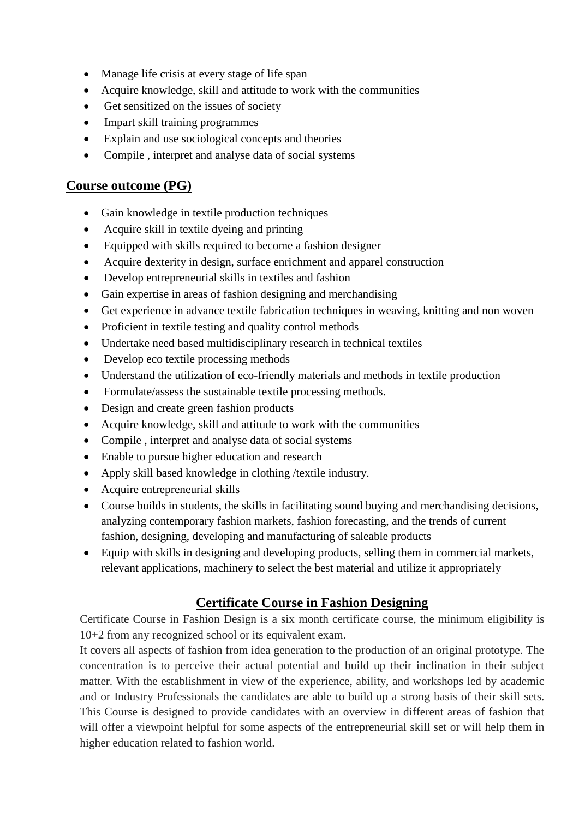- Manage life crisis at every stage of life span
- Acquire knowledge, skill and attitude to work with the communities
- Get sensitized on the issues of society
- Impart skill training programmes
- Explain and use sociological concepts and theories
- Compile , interpret and analyse data of social systems

### **Course outcome (PG)**

- Gain knowledge in textile production techniques
- Acquire skill in textile dyeing and printing
- Equipped with skills required to become a fashion designer
- Acquire dexterity in design, surface enrichment and apparel construction
- Develop entrepreneurial skills in textiles and fashion
- Gain expertise in areas of fashion designing and merchandising
- Get experience in advance textile fabrication techniques in weaving, knitting and non woven
- Proficient in textile testing and quality control methods
- Undertake need based multidisciplinary research in technical textiles
- Develop eco textile processing methods
- Understand the utilization of eco-friendly materials and methods in textile production
- Formulate/assess the sustainable textile processing methods.
- Design and create green fashion products
- Acquire knowledge, skill and attitude to work with the communities
- Compile , interpret and analyse data of social systems
- Enable to pursue higher education and research
- Apply skill based knowledge in clothing /textile industry.
- Acquire entrepreneurial skills
- Course builds in students, the skills in facilitating sound buying and merchandising decisions, analyzing contemporary fashion markets, fashion forecasting, and the trends of current fashion, designing, developing and manufacturing of saleable products
- Equip with skills in designing and developing products, selling them in commercial markets, relevant applications, machinery to select the best material and utilize it appropriately

## **Certificate Course in Fashion Designing**

Certificate Course in Fashion Design is a six month certificate course, the minimum eligibility is 10+2 from any recognized school or its equivalent exam.

It covers all aspects of fashion from idea generation to the production of an original prototype. The concentration is to perceive their actual potential and build up their inclination in their subject matter. With the establishment in view of the experience, ability, and workshops led by academic and or Industry Professionals the candidates are able to build up a strong basis of their skill sets. This Course is designed to provide candidates with an overview in different areas of fashion that will offer a viewpoint helpful for some aspects of the entrepreneurial skill set or will help them in higher education related to fashion world.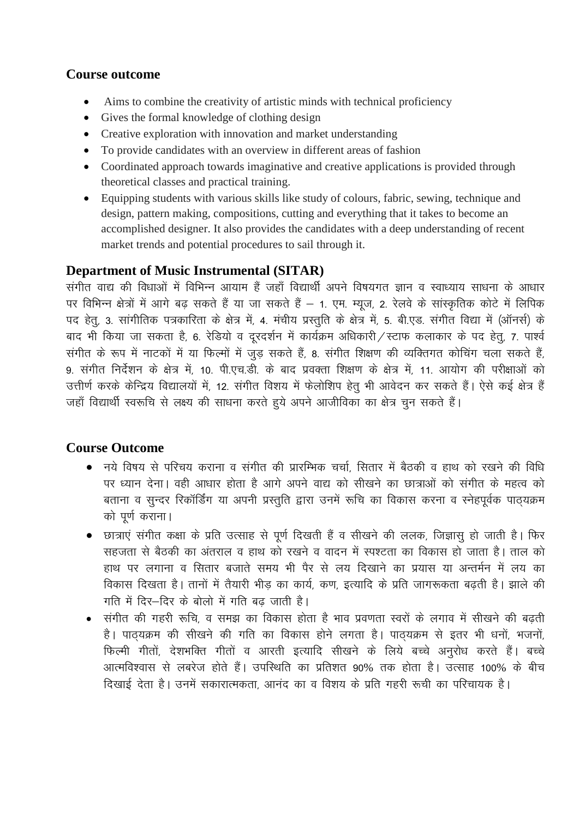### **Course outcome**

- Aims to combine the creativity of artistic minds with technical proficiency
- Gives the formal knowledge of clothing design
- Creative exploration with innovation and market understanding
- To provide candidates with an overview in different areas of fashion
- Coordinated approach towards imaginative and creative applications is provided through theoretical classes and practical training.
- Equipping students with various skills like study of colours, fabric, sewing, technique and design, pattern making, compositions, cutting and everything that it takes to become an accomplished designer. It also provides the candidates with a deep understanding of recent market trends and potential procedures to sail through it.

### **Department of Music Instrumental (SITAR)**

.<br>संगीत वाद्य की विधाओं में विभिन्न आयाम हैं जहाँ विद्यार्थी अपने विषयगत ज्ञान व स्वाध्याय साधना के आधार पर विभिन्न क्षेत्रों में आगे बढ़ सकते हैं या जा सकते हैं – 1. एम. म्यूज, 2. रेलवे के सांस्कृतिक कोटे में लिपिक पद हेतू, 3. सांगीतिक पत्रकारिता के क्षेत्र में, 4. मंचीय प्रस्तुति के क्षेत्र में, 5. बी.एड. संगीत विद्या में (ऑनर्स) के बाद भी किया जा सकता है, 6. रेडियो व दरदर्शन में कार्यक्रम अधिकारी / स्टाफ कलाकार के पद हेतू, 7. पार्श्व संगीत के रूप में नाटकों में या फिल्मों में जुड सकते हैं, 8. संगीत शिक्षण की व्यक्तिगत कोचिंग चला सकते हैं, 9. संगीत निर्देशन के क्षेत्र में, 10. पी.एच.डी. के बाद प्रवक्ता शिक्षण के क्षेत्र में, 11. आयोग की परीक्षाओं को उत्तीर्ण करके केन्द्रिय विद्यालयों में, 12. संगीत विशय में फेलोशिप हेतू भी आवेदन कर सकते हैं। ऐसे कई क्षेत्र हैं जहाँ विद्यार्थी स्वरूचि से लक्ष्य की साधना करते हुये अपने आजीविका का क्षेत्र चुन सकते हैं।

## **Course Outcome**

- नये विषय से परिचय कराना व संगीत की प्रारम्भिक चर्चा. सितार में बैठकी व हाथ को रखने की विधि पर ध्यान देना। वही आधार होता है आगे अपने वाद्य को सीखने का छात्राओं को संगीत के महत्व को बताना व सुन्दर रिकॉर्डिंग या अपनी प्रस्तुति द्वारा उनमें रूचि का विकास करना व स्नेहपूर्वक पाठ्यक्रम को पर्ण कराना।
- छात्राएं संगीत कक्षा के प्रति उत्साह से पूर्ण दिखती हैं व सीखने की ललक, जिज्ञासू हो जाती है। फिर सहजता से बैठकी का अंतराल व हाथ को रखने व वादन में स्पश्टता का विकास हो जाता है। ताल को हाथ पर लगाना व सितार बजाते समय भी पैर से लय दिखाने का प्रयास या अन्तर्मन में लय का विकास दिखता है। तानों में तैयारी भीड़ का कार्य, कण, इत्यादि के प्रति जागरूकता बढती है। झाले की गति में दिर-दिर के बोलो में गति बढ जाती है।
- संगीत की गहरी रूचि, व समझ का विकास होता है भाव प्रवणता स्वरों के लगाव में सीखने की बढती है। पाठयक्रम की सीखने की गति का विकास होने लगता है। पाठयक्रम से इतर भी धनों, भजनों, फिल्मी गीतों, देशभक्ति गीतों व आरती इत्यादि सीखने के लिये बच्चे अनुरोध करते हैं। बच्चे आत्मविश्वास से लबरेज होते हैं। उपस्थिति का प्रतिशत 90% तक होता है। उत्साह 100% के बीच दिखाई देता है। उनमें सकारात्मकता, आनंद का व विशय के प्रति गहरी रूची का परिचायक है।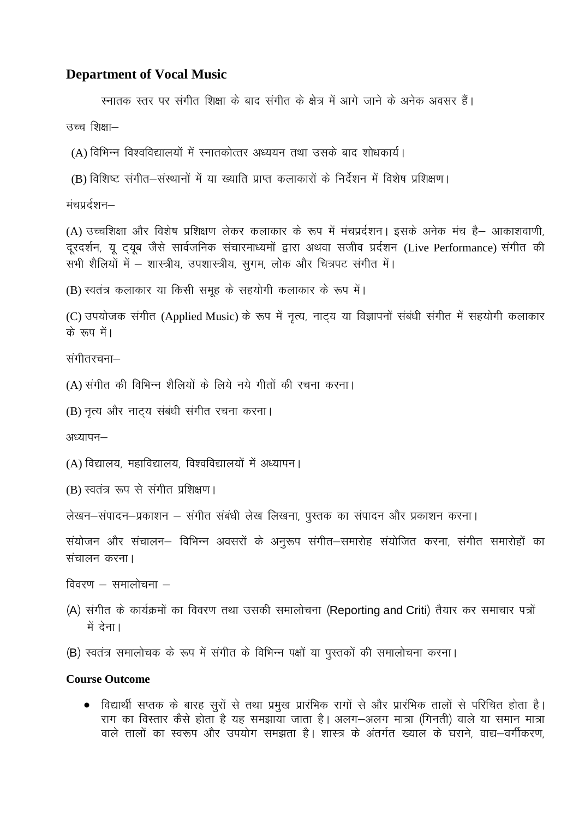#### **Department of Vocal Music**

स्नातक स्तर पर संगीत शिक्षा के बाद संगीत के क्षेत्र में आगे जाने के अनेक अवसर हैं।

उच्च शिक्षा-

(A) विभिन्न विश्वविद्यालयों में स्नातकोत्तर अध्ययन तथा उसके बाद शोधकार्य।

(B) विशिष्ट संगीत–संस्थानों में या ख्याति प्राप्त कलाकारों के निर्देशन में विशेष प्रशिक्षण।

मंचप्रर्दशन–

(A) उच्चशिक्षा और विशेष प्रशिक्षण लेकर कलाकार के रूप में मंचप्रर्दशन। इसके अनेक मंच है– आकाशवाणी, दूरदर्शन, यू ट्यूब जैसे सार्वजनिक संचारमाध्यमों द्वारा अथवा सजीव प्रर्दशन (Live Performance) संगीत की सभी शैलियों में – शास्त्रीय, उपशास्त्रीय, सुगम, लोक और चित्रपट संगीत में।

```
(B) स्वतंत्र कलाकार या किसी समूह के सहयोगी कलाकार के रूप में।
```
(C) उपयोजक संगीत (Applied Music) के रूप में नृत्य, नाट्य या विज्ञापनों संबंधी संगीत में सहयोगी कलाकार के रूप में।

संगीतरचना—

(A) संगीत की विभिन्न शैलियों के लिये नये गीतों की रचना करना।

(B) नृत्य और नाट्य संबंधी संगीत रचना करना।

अध्यापन-

(A) विद्यालय, महाविद्यालय, विश्वविद्यालयों में अध्यापन।

(B) स्वतंत्र रूप से संगीत प्रशिक्षण।

लेखन-संपादन-प्रकाशन – संगीत संबंधी लेख लिखना, पुस्तक का संपादन और प्रकाशन करना।

संयोजन और संचालन– विभिन्न अवसरों के अनुरूप संगीत–समारोह संयोजित करना, संगीत समारोहों का संचालन करना।

विवरण  $-$  समालोचना  $-$ 

(A) संगीत के कार्यक्रमों का विवरण तथा उसकी समालोचना (Reporting and Criti) तैयार कर समाचार पत्रों में देना।

(B) स्वतंत्र समालोचक के रूप में संगीत के विभिन्न पक्षों या पुस्तकों की समालोचना करना।

#### **Course Outcome**

• विद्यार्थी सप्तक के बारह सुरों से तथा प्रमुख प्रारंभिक रागों से और प्रारंभिक तालों से परिचित होता है। राग का विस्तार कैसे होता है यह समझाया जाता है। अलग-अलग मात्रा (गिनती) वाले या समान मात्रा वाले तालों का स्वरूप और उपयोग समझता है। शास्त्र के अंतर्गत ख्याल के घराने, वाद्य-वर्गीकरण,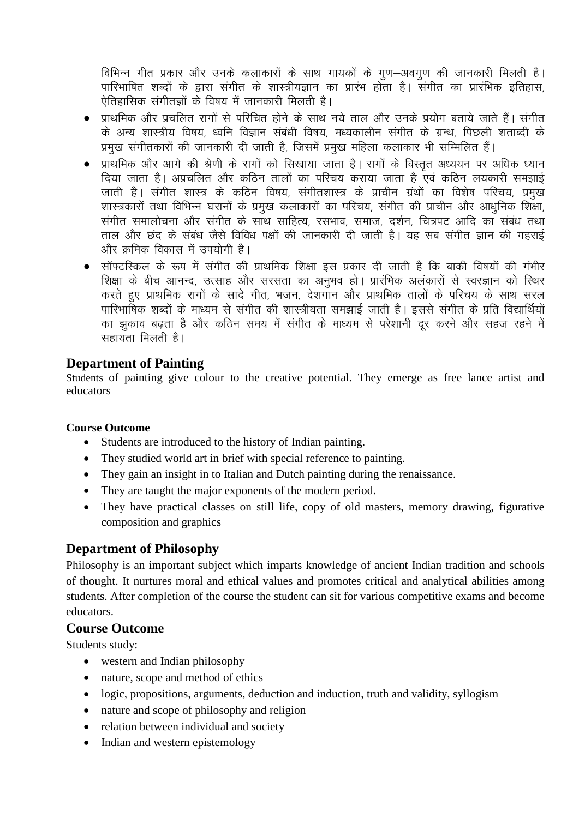विभिन्न गीत प्रकार और उनके कलाकारों के साथ गायकों के गुण-अवगुण की जानकारी मिलती है। पारिभाषित शब्दों के द्वारा संगीत के शास्त्रीयज्ञान का प्रारंभ होता है। संगीत का प्रारंभिक इतिहास, ऐतिहासिक संगीतज्ञों के विषय में जानकारी मिलती है।

- प्राथमिक और प्रचलित रागों से परिचित होने के साथ नये ताल और उनके प्रयोग बताये जाते हैं। संगीत के अन्य शास्त्रीय विषय, ध्वनि विज्ञान संबंधी विषय, मध्यकालीन संगीत के ग्रन्थ, पिछली शताब्दी के प्रमख संगीतकारों की जानकारी दी जाती है. जिसमें प्रमख महिला कलाकार भी सम्मिलित हैं।
- प्राथमिक और आगे की श्रेणी के रागों को सिखाया जाता है। रागों के विस्तृत अध्ययन पर अधिक ध्यान दिया जाता है। अप्रचलित और कठिन तालों का परिचय कराया जाता है एवं कठिन लयकारी समझाई जाती है। संगीत शास्त्र के कठिन विषय, संगीतशास्त्र के प्राचीन ग्रंथों का विशेष परिचय, प्रमुख शास्त्रकारों तथा विभिन्न घरानों के प्रमुख कलाकारों का परिचय, संगीत की प्राचीन और आधुनिक शिक्षा, संगीत समालोचना और संगीत के साथ साहित्य, रसभाव, समाज, दर्शन, चित्रपट आदि का संबंध तथा ताल और छंद के संबंध जैसे विविध पक्षों की जानकारी दी जाती है। यह सब संगीत ज्ञान की गहराई और कमिक विकास में उपयोगी है।
- सॉफ्टस्किल के रूप में संगीत की प्राथमिक शिक्षा इस प्रकार दी जाती है कि बाकी विषयों की गंभीर शिक्षा के बीच आनन्द, उत्साह और सरसता का अनुभव हो। प्रारंभिक अलंकारों से स्वरज्ञान को स्थिर करते हुए प्राथमिक रांगों के सादे गीत, भजन, देशगान और प्राथमिक तालों के परिचय के साथ सरल पारिभाषिक शब्दों के माध्यम से संगीत की शास्त्रीयता समझाई जाती है। इससे संगीत के प्रति विद्यार्थियों का झुकाव बढ़ता है और कठिन समय में संगीत के माध्यम से परेशानी दूर करने और सहज रहने में सहायता मिलती है।

## **Department of Painting**

Students of painting give colour to the creative potential. They emerge as free lance artist and educators

### **Course Outcome**

- Students are introduced to the history of Indian painting.
- They studied world art in brief with special reference to painting.
- They gain an insight in to Italian and Dutch painting during the renaissance.
- They are taught the major exponents of the modern period.
- They have practical classes on still life, copy of old masters, memory drawing, figurative composition and graphics

## **Department of Philosophy**

Philosophy is an important subject which imparts knowledge of ancient Indian tradition and schools of thought. It nurtures moral and ethical values and promotes critical and analytical abilities among students. After completion of the course the student can sit for various competitive exams and become educators.

### **Course Outcome**

Students study:

- western and Indian philosophy
- nature, scope and method of ethics
- logic, propositions, arguments, deduction and induction, truth and validity, syllogism
- nature and scope of philosophy and religion
- relation between individual and society
- Indian and western epistemology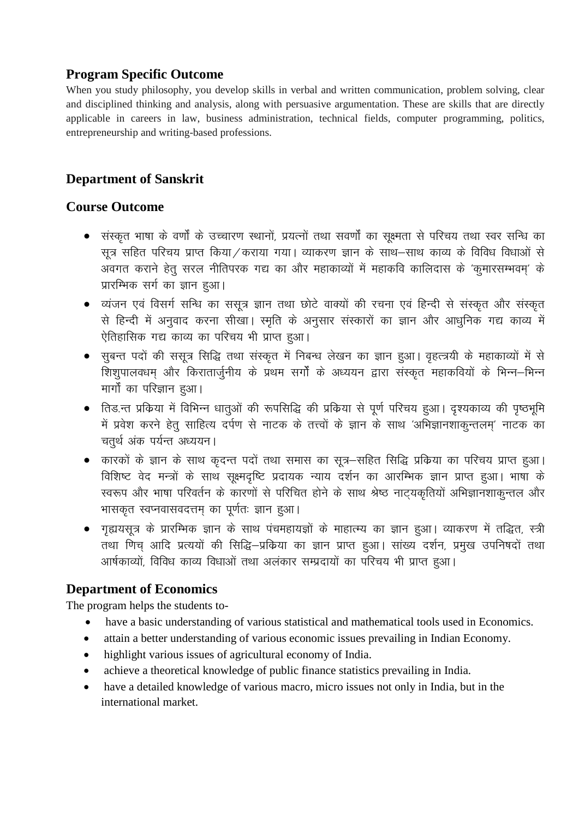## **Program Specific Outcome**

When you study philosophy, you develop skills in verbal and written communication, problem solving, clear and disciplined thinking and analysis, along with persuasive argumentation. These are skills that are directly applicable in careers in law, business administration, technical fields, computer programming, politics, entrepreneurship and writing-based professions.

## **Department of Sanskrit**

## **Course Outcome**

- संस्कृत भाषा के वर्णों के उच्चारण स्थानों, प्रयत्नों तथा सवर्णों का सुक्ष्मता से परिचय तथा स्वर सन्धि का सूत्र सहित परिचय प्राप्त किया / कराया गया। व्याकरण ज्ञान के साथ–साथ काव्य के विविध विधाओं से अवगत कराने हेतू सरल नीतिपरक गद्य का और महाकाव्यों में महाकवि कालिदास के 'कूमारसम्भवम्' के प्रारम्भिक सर्ग का ज्ञान हुआ।
- व्यंजन एवं विसर्ग सन्धि का ससूत्र ज्ञान तथा छोटे वाक्यों की रचना एवं हिन्दी से संस्कृत और संस्कृत से हिन्दी में अनुवाद करना सीखा। स्मृति के अनुसार संस्कारों का ज्ञान और आधुनिक गद्य काव्य में ऐतिहासिक गद्य काव्य का परिचय भी प्राप्त हुआ।
- सुबन्त पदों की ससूत्र सिद्धि तथा संस्कृत में निबन्ध लेखन का ज्ञान हुआ। वृहत्त्रयी के महाकाव्यों में से ँ<br>शिशुपालवधम् और किरातार्जुनीय के प्रथम सर्गों के अध्ययन द्वारा संस्कृत महाकवियों के भिन्न–भिन्न मार्गों का परिज्ञान हुआ।
- तिड़.न्त प्रकिया में विभिन्न धातूओं की रूपसिद्धि की प्रकिया से पूर्ण परिचय हुआ। दृश्यकाव्य की पृष्ठभूमि में प्रवेश करने हेतू साहित्य दर्पण से नाटक के तत्त्वों के ज्ञान के साथ 'अभिज्ञानशाकुन्तलम्' नाटक का चतुर्थ अंक पर्यन्त अध्ययन।
- कारकों के ज्ञान के साथ कृदन्त पदों तथा समास का सूत्र–सहित सिद्धि प्रकिया का परिचय प्राप्त हुआ। विशिष्ट वेद मन्त्रों के साथ सक्ष्मदृष्टि प्रदायक न्याय दर्शन का आरम्भिक ज्ञान प्राप्त हुआ। भाषा के स्वरूप और भाषा परिवर्तन के कारणों से परिचित होने के साथ श्रेष्ठ नाट्यकृतियों अभिज्ञानशाकुन्तल और भासकृत स्वप्नवासवदत्तम का पूर्णतः ज्ञान हुआ।
- गृह्ययसूत्र के प्रारम्भिक ज्ञान के साथ पंचमहायज्ञों के माहात्म्य का ज्ञान हुआ। व्याकरण में तद्धित, स्त्री तथा णिच आदि प्रत्ययों की सिद्धि–प्रकिया का ज्ञान प्राप्त हुआ। सांख्य दर्शन, प्रमुख उपनिषदों तथा आर्षकाव्यों, विविध काव्य विधाओं तथा अलंकार सम्प्रदायों का परिचय भी प्राप्त हुआ।

## **Department of Economics**

The program helps the students to-

- have a basic understanding of various statistical and mathematical tools used in Economics.
- attain a better understanding of various economic issues prevailing in Indian Economy.
- highlight various issues of agricultural economy of India.
- achieve a theoretical knowledge of public finance statistics prevailing in India.
- have a detailed knowledge of various macro, micro issues not only in India, but in the international market.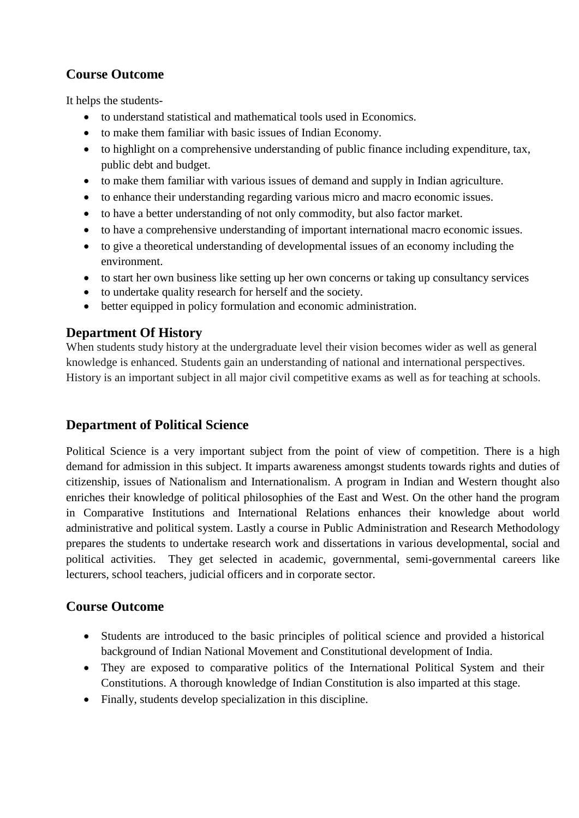# **Course Outcome**

It helps the students-

- to understand statistical and mathematical tools used in Economics.
- to make them familiar with basic issues of Indian Economy.
- to highlight on a comprehensive understanding of public finance including expenditure, tax, public debt and budget.
- to make them familiar with various issues of demand and supply in Indian agriculture.
- to enhance their understanding regarding various micro and macro economic issues.
- to have a better understanding of not only commodity, but also factor market.
- to have a comprehensive understanding of important international macro economic issues.
- to give a theoretical understanding of developmental issues of an economy including the environment.
- to start her own business like setting up her own concerns or taking up consultancy services
- to undertake quality research for herself and the society.
- better equipped in policy formulation and economic administration.

# **Department Of History**

When students study history at the undergraduate level their vision becomes wider as well as general knowledge is enhanced. Students gain an understanding of national and international perspectives. History is an important subject in all major civil competitive exams as well as for teaching at schools.

# **Department of Political Science**

Political Science is a very important subject from the point of view of competition. There is a high demand for admission in this subject. It imparts awareness amongst students towards rights and duties of citizenship, issues of Nationalism and Internationalism. A program in Indian and Western thought also enriches their knowledge of political philosophies of the East and West. On the other hand the program in Comparative Institutions and International Relations enhances their knowledge about world administrative and political system. Lastly a course in Public Administration and Research Methodology prepares the students to undertake research work and dissertations in various developmental, social and political activities. They get selected in academic, governmental, semi-governmental careers like lecturers, school teachers, judicial officers and in corporate sector.

# **Course Outcome**

- Students are introduced to the basic principles of political science and provided a historical background of Indian National Movement and Constitutional development of India.
- They are exposed to comparative politics of the International Political System and their Constitutions. A thorough knowledge of Indian Constitution is also imparted at this stage.
- Finally, students develop specialization in this discipline.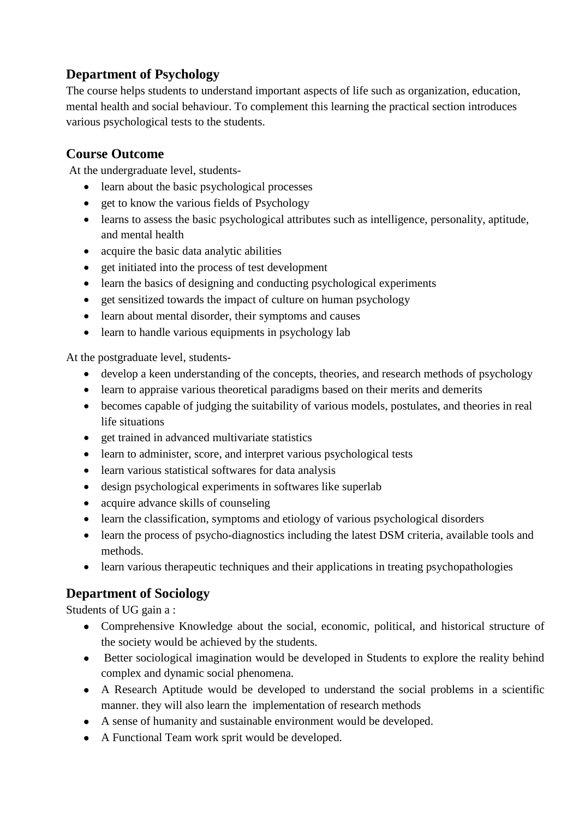# **Department of Psychology**

The course helps students to understand important aspects of life such as organization, education, mental health and social behaviour. To complement this learning the practical section introduces various psychological tests to the students.

## **Course Outcome**

At the undergraduate level, students-

- learn about the basic psychological processes
- get to know the various fields of Psychology
- learns to assess the basic psychological attributes such as intelligence, personality, aptitude, and mental health
- acquire the basic data analytic abilities
- get initiated into the process of test development
- learn the basics of designing and conducting psychological experiments
- get sensitized towards the impact of culture on human psychology
- learn about mental disorder, their symptoms and causes
- learn to handle various equipments in psychology lab

At the postgraduate level, students-

- develop a keen understanding of the concepts, theories, and research methods of psychology
- learn to appraise various theoretical paradigms based on their merits and demerits
- becomes capable of judging the suitability of various models, postulates, and theories in real life situations
- get trained in advanced multivariate statistics
- learn to administer, score, and interpret various psychological tests
- learn various statistical softwares for data analysis
- design psychological experiments in softwares like superlab
- acquire advance skills of counseling
- learn the classification, symptoms and etiology of various psychological disorders
- learn the process of psycho-diagnostics including the latest DSM criteria, available tools and methods.
- learn various therapeutic techniques and their applications in treating psychopathologies

## **Department of Sociology**

Students of UG gain a :

- Comprehensive Knowledge about the social, economic, political, and historical structure of the society would be achieved by the students.
- Better sociological imagination would be developed in Students to explore the reality behind complex and dynamic social phenomena.
- A Research Aptitude would be developed to understand the social problems in a scientific manner. they will also learn the implementation of research methods
- A sense of humanity and sustainable environment would be developed.
- A Functional Team work sprit would be developed.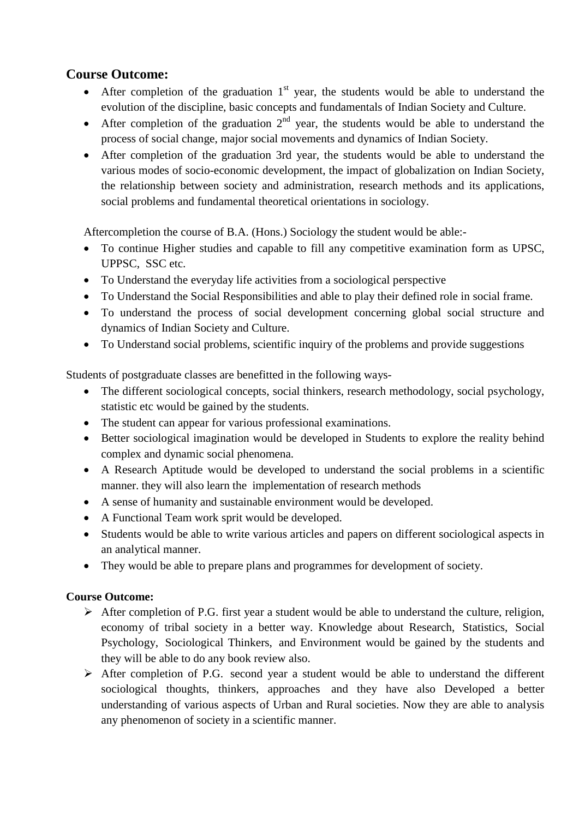## **Course Outcome:**

- After completion of the graduation  $1<sup>st</sup>$  year, the students would be able to understand the evolution of the discipline, basic concepts and fundamentals of Indian Society and Culture.
- After completion of the graduation  $2<sup>nd</sup>$  year, the students would be able to understand the process of social change, major social movements and dynamics of Indian Society.
- After completion of the graduation 3rd year, the students would be able to understand the various modes of socio-economic development, the impact of globalization on Indian Society, the relationship between society and administration, research methods and its applications, social problems and fundamental theoretical orientations in sociology.

Aftercompletion the course of B.A. (Hons.) Sociology the student would be able:-

- To continue Higher studies and capable to fill any competitive examination form as UPSC, UPPSC, SSC etc.
- To Understand the everyday life activities from a sociological perspective
- To Understand the Social Responsibilities and able to play their defined role in social frame.
- To understand the process of social development concerning global social structure and dynamics of Indian Society and Culture.
- To Understand social problems, scientific inquiry of the problems and provide suggestions

Students of postgraduate classes are benefitted in the following ways-

- The different sociological concepts, social thinkers, research methodology, social psychology, statistic etc would be gained by the students.
- The student can appear for various professional examinations.
- Better sociological imagination would be developed in Students to explore the reality behind complex and dynamic social phenomena.
- A Research Aptitude would be developed to understand the social problems in a scientific manner. they will also learn the implementation of research methods
- A sense of humanity and sustainable environment would be developed.
- A Functional Team work sprit would be developed.
- Students would be able to write various articles and papers on different sociological aspects in an analytical manner.
- They would be able to prepare plans and programmes for development of society.

### **Course Outcome:**

- $\triangleright$  After completion of P.G. first year a student would be able to understand the culture, religion, economy of tribal society in a better way. Knowledge about Research, Statistics, Social Psychology, Sociological Thinkers, and Environment would be gained by the students and they will be able to do any book review also.
- $\triangleright$  After completion of P.G. second year a student would be able to understand the different sociological thoughts, thinkers, approaches and they have also Developed a better understanding of various aspects of Urban and Rural societies. Now they are able to analysis any phenomenon of society in a scientific manner.